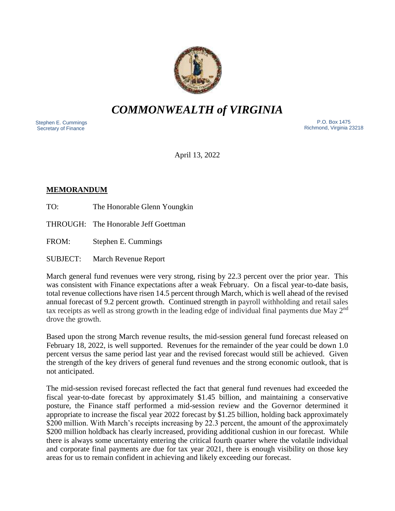

# *COMMONWEALTH of VIRGINIA*

 Stephen E. Cummings Secretary of Finance

 P.O. Box 1475 Richmond, Virginia 23218

April 13, 2022

# **MEMORANDUM**

TO: The Honorable Glenn Youngkin

THROUGH: The Honorable Jeff Goettman

FROM: Stephen E. Cummings

SUBJECT: March Revenue Report

March general fund revenues were very strong, rising by 22.3 percent over the prior year. This was consistent with Finance expectations after a weak February. On a fiscal year-to-date basis, total revenue collections have risen 14.5 percent through March, which is well ahead of the revised annual forecast of 9.2 percent growth. Continued strength in payroll withholding and retail sales tax receipts as well as strong growth in the leading edge of individual final payments due May 2nd drove the growth.

Based upon the strong March revenue results, the mid-session general fund forecast released on February 18, 2022, is well supported. Revenues for the remainder of the year could be down 1.0 percent versus the same period last year and the revised forecast would still be achieved. Given the strength of the key drivers of general fund revenues and the strong economic outlook, that is not anticipated.

The mid-session revised forecast reflected the fact that general fund revenues had exceeded the fiscal year-to-date forecast by approximately \$1.45 billion, and maintaining a conservative posture, the Finance staff performed a mid-session review and the Governor determined it appropriate to increase the fiscal year 2022 forecast by \$1.25 billion, holding back approximately \$200 million. With March's receipts increasing by 22.3 percent, the amount of the approximately \$200 million holdback has clearly increased, providing additional cushion in our forecast. While there is always some uncertainty entering the critical fourth quarter where the volatile individual and corporate final payments are due for tax year 2021, there is enough visibility on those key areas for us to remain confident in achieving and likely exceeding our forecast.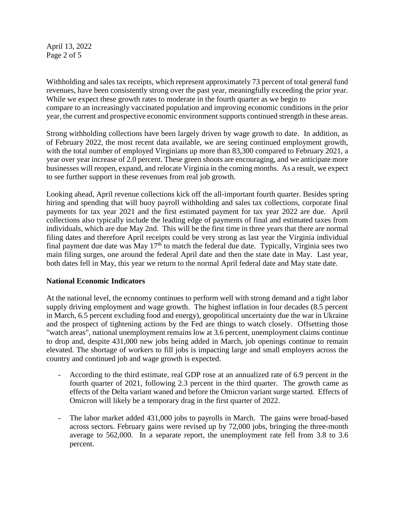April 13, 2022 Page 2 of 5

Withholding and sales tax receipts, which represent approximately 73 percent of total general fund revenues, have been consistently strong over the past year, meaningfully exceeding the prior year. While we expect these growth rates to moderate in the fourth quarter as we begin to compare to an increasingly vaccinated population and improving economic conditions in the prior year, the current and prospective economic environment supports continued strength in these areas.

Strong withholding collections have been largely driven by wage growth to date. In addition, as of February 2022, the most recent data available, we are seeing continued employment growth, with the total number of employed Virginians up more than 83,300 compared to February 2021, a year over year increase of 2.0 percent. These green shoots are encouraging, and we anticipate more businesses will reopen, expand, and relocate Virginia in the coming months. As a result, we expect to see further support in these revenues from real job growth.

Looking ahead, April revenue collections kick off the all-important fourth quarter. Besides spring hiring and spending that will buoy payroll withholding and sales tax collections, corporate final payments for tax year 2021 and the first estimated payment for tax year 2022 are due. April collections also typically include the leading edge of payments of final and estimated taxes from individuals, which are due May 2nd. This will be the first time in three years that there are normal filing dates and therefore April receipts could be very strong as last year the Virginia individual final payment due date was May  $17<sup>th</sup>$  to match the federal due date. Typically, Virginia sees two main filing surges, one around the federal April date and then the state date in May. Last year, both dates fell in May, this year we return to the normal April federal date and May state date.

## **National Economic Indicators**

At the national level, the economy continues to perform well with strong demand and a tight labor supply driving employment and wage growth. The highest inflation in four decades (8.5 percent in March, 6.5 percent excluding food and energy), geopolitical uncertainty due the war in Ukraine and the prospect of tightening actions by the Fed are things to watch closely. Offsetting those "watch areas", national unemployment remains low at 3.6 percent, unemployment claims continue to drop and, despite 431,000 new jobs being added in March, job openings continue to remain elevated. The shortage of workers to fill jobs is impacting large and small employers across the country and continued job and wage growth is expected.

- According to the third estimate, real GDP rose at an annualized rate of 6.9 percent in the fourth quarter of 2021, following 2.3 percent in the third quarter. The growth came as effects of the Delta variant waned and before the Omicron variant surge started. Effects of Omicron will likely be a temporary drag in the first quarter of 2022.
- The labor market added 431,000 jobs to payrolls in March. The gains were broad-based across sectors. February gains were revised up by 72,000 jobs, bringing the three-month average to 562,000. In a separate report, the unemployment rate fell from 3.8 to 3.6 percent.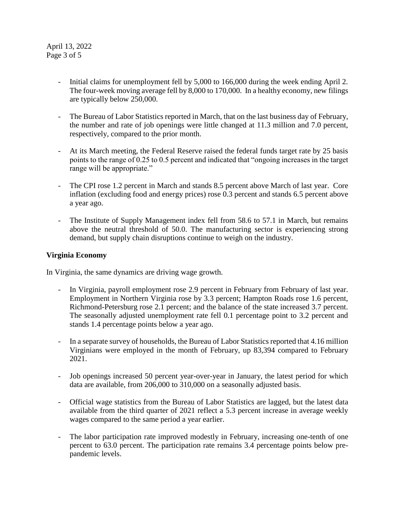April 13, 2022 Page 3 of 5

- Initial claims for unemployment fell by 5,000 to 166,000 during the week ending April 2. The four-week moving average fell by 8,000 to 170,000. In a healthy economy, new filings are typically below 250,000.
- The Bureau of Labor Statistics reported in March, that on the last business day of February, the number and rate of job openings were little changed at 11.3 million and 7.0 percent, respectively, compared to the prior month.
- At its March meeting, the Federal Reserve raised the federal funds target rate by 25 basis points to the range of 0.25 to 0.5 percent and indicated that "ongoing increases in the target range will be appropriate."
- The CPI rose 1.2 percent in March and stands 8.5 percent above March of last year. Core inflation (excluding food and energy prices) rose 0.3 percent and stands 6.5 percent above a year ago.
- The Institute of Supply Management index fell from 58.6 to 57.1 in March, but remains above the neutral threshold of 50.0. The manufacturing sector is experiencing strong demand, but supply chain disruptions continue to weigh on the industry.

## **Virginia Economy**

In Virginia, the same dynamics are driving wage growth.

- In Virginia, payroll employment rose 2.9 percent in February from February of last year. Employment in Northern Virginia rose by 3.3 percent; Hampton Roads rose 1.6 percent, Richmond-Petersburg rose 2.1 percent; and the balance of the state increased 3.7 percent. The seasonally adjusted unemployment rate fell 0.1 percentage point to 3.2 percent and stands 1.4 percentage points below a year ago.
- In a separate survey of households, the Bureau of Labor Statistics reported that 4.16 million Virginians were employed in the month of February, up 83,394 compared to February 2021.
- Job openings increased 50 percent year-over-year in January, the latest period for which data are available, from 206,000 to 310,000 on a seasonally adjusted basis.
- Official wage statistics from the Bureau of Labor Statistics are lagged, but the latest data available from the third quarter of 2021 reflect a 5.3 percent increase in average weekly wages compared to the same period a year earlier.
- The labor participation rate improved modestly in February, increasing one-tenth of one percent to 63.0 percent. The participation rate remains 3.4 percentage points below prepandemic levels.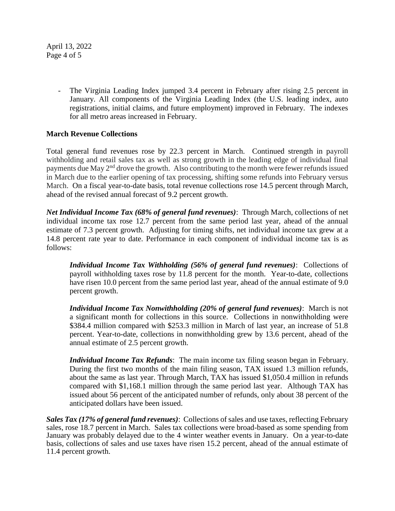April 13, 2022 Page 4 of 5

> The Virginia Leading Index jumped 3.4 percent in February after rising 2.5 percent in January. All components of the Virginia Leading Index (the U.S. leading index, auto registrations, initial claims, and future employment) improved in February. The indexes for all metro areas increased in February.

# **March Revenue Collections**

Total general fund revenues rose by 22.3 percent in March. Continued strength in payroll withholding and retail sales tax as well as strong growth in the leading edge of individual final payments due May 2nd drove the growth. Also contributing to the month were fewer refunds issued in March due to the earlier opening of tax processing, shifting some refunds into February versus March. On a fiscal year-to-date basis, total revenue collections rose 14.5 percent through March, ahead of the revised annual forecast of 9.2 percent growth.

*Net Individual Income Tax (68% of general fund revenues)*: Through March, collections of net individual income tax rose 12.7 percent from the same period last year, ahead of the annual estimate of 7.3 percent growth. Adjusting for timing shifts, net individual income tax grew at a 14.8 percent rate year to date. Performance in each component of individual income tax is as follows:

*Individual Income Tax Withholding (56% of general fund revenues)*: Collections of payroll withholding taxes rose by 11.8 percent for the month. Year-to-date, collections have risen 10.0 percent from the same period last year, ahead of the annual estimate of 9.0 percent growth.

*Individual Income Tax Nonwithholding (20% of general fund revenues)*: March is not a significant month for collections in this source. Collections in nonwithholding were \$384.4 million compared with \$253.3 million in March of last year, an increase of 51.8 percent. Year-to-date, collections in nonwithholding grew by 13.6 percent, ahead of the annual estimate of 2.5 percent growth.

*Individual Income Tax Refunds*: The main income tax filing season began in February. During the first two months of the main filing season, TAX issued 1.3 million refunds, about the same as last year. Through March, TAX has issued \$1,050.4 million in refunds compared with \$1,168.1 million through the same period last year. Although TAX has issued about 56 percent of the anticipated number of refunds, only about 38 percent of the anticipated dollars have been issued.

*Sales Tax (17% of general fund revenues)*: Collections of sales and use taxes, reflecting February sales, rose 18.7 percent in March. Sales tax collections were broad-based as some spending from January was probably delayed due to the 4 winter weather events in January. On a year-to-date basis, collections of sales and use taxes have risen 15.2 percent, ahead of the annual estimate of 11.4 percent growth.